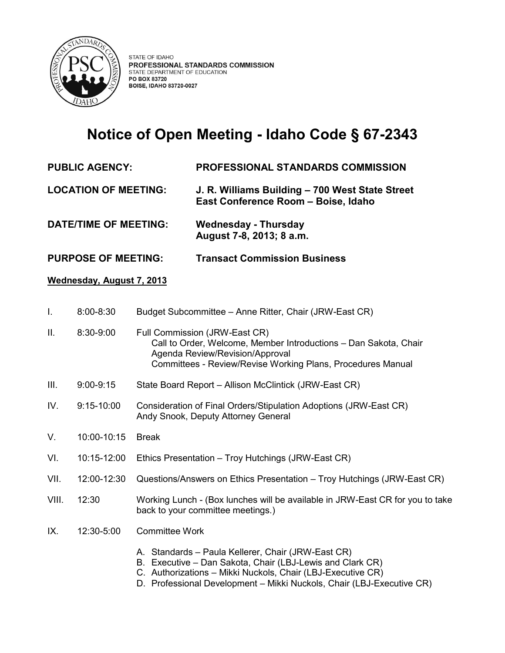

## **Notice of Open Meeting - Idaho Code § 67-2343**

**PUBLIC AGENCY: PROFESSIONAL STANDARDS COMMISSION**

**LOCATION OF MEETING: J. R. Williams Building – 700 West State Street East Conference Room – Boise, Idaho** 

- **DATE/TIME OF MEETING: Wednesday - Thursday August 7-8, 2013; 8 a.m.**
- **PURPOSE OF MEETING: Transact Commission Business**

## **Wednesday, August 7, 2013**

- I. 8:00-8:30 Budget Subcommittee Anne Ritter, Chair (JRW-East CR)
- II. 8:30-9:00 Full Commission (JRW-East CR) Call to Order, Welcome, Member Introductions – Dan Sakota, Chair Agenda Review/Revision/Approval Committees - Review/Revise Working Plans, Procedures Manual
- III. 9:00-9:15 State Board Report Allison McClintick (JRW-East CR)
- IV. 9:15-10:00 Consideration of Final Orders/Stipulation Adoptions (JRW-East CR) Andy Snook, Deputy Attorney General
- V. 10:00-10:15 Break
- VI. 10:15-12:00 Ethics Presentation Troy Hutchings (JRW-East CR)
- VII. 12:00-12:30 Questions/Answers on Ethics Presentation Troy Hutchings (JRW-East CR)
- VIII. 12:30 Working Lunch (Box lunches will be available in JRW-East CR for you to take back to your committee meetings.)
- IX. 12:30-5:00 Committee Work
	- A. Standards Paula Kellerer, Chair (JRW-East CR)
	- B. Executive Dan Sakota, Chair (LBJ-Lewis and Clark CR)
	- C. Authorizations Mikki Nuckols, Chair (LBJ-Executive CR)
	- D. Professional Development Mikki Nuckols, Chair (LBJ-Executive CR)